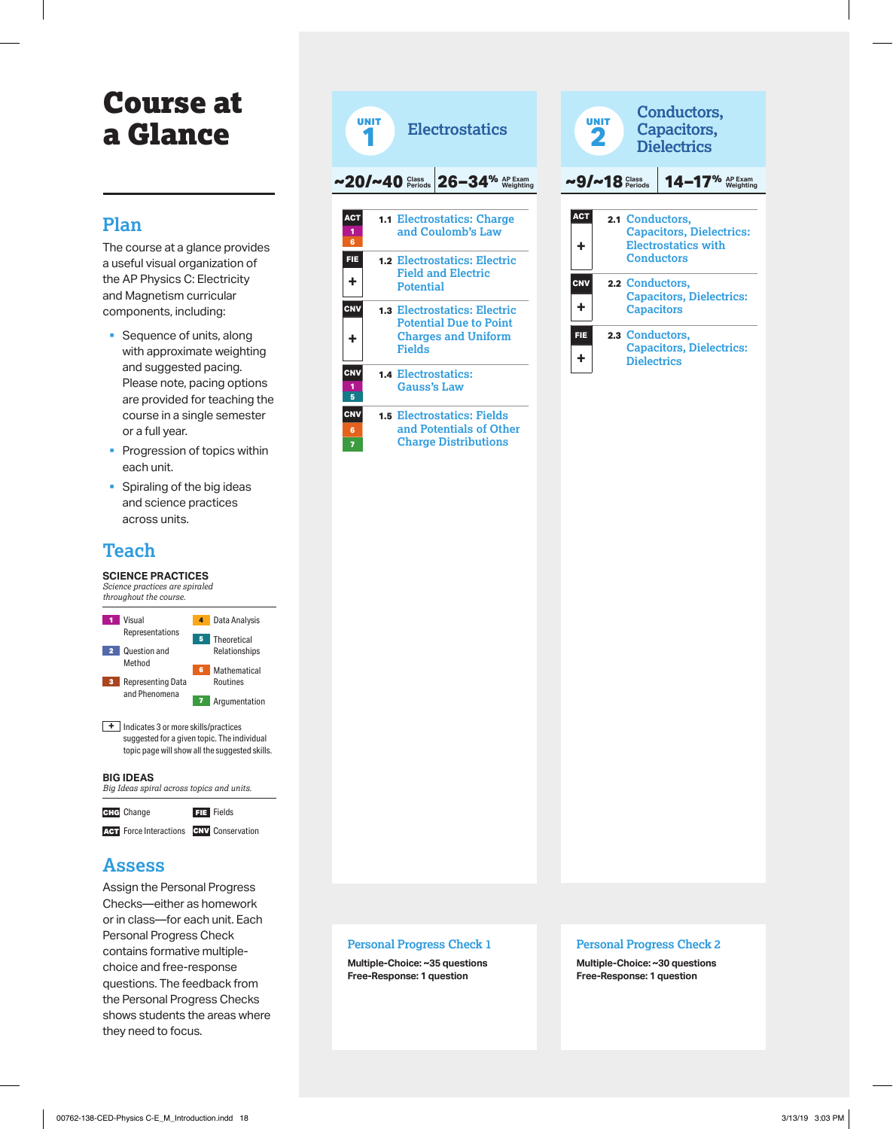# Course at a Glance

## **Plan**

The course at a glance provides a useful visual organization of the AP Physics C: Electricity and Magnetism curricular components, including:

- § Sequence of units, along with approximate weighting and suggested pacing. Please note, pacing options are provided for teaching the course in a single semester or a full year.
- **Progression of topics within** each unit.
- § Spiraling of the big ideas and science practices across units.

# **Teach**

#### **SCIENCE PRACTICES**



ACT Force Interactions CNV Conservation

## **Assess**

Assign the Personal Progress Checks—either as homework or in class—for each unit. Each Personal Progress Check contains formative multiplechoice and free-response questions. The feedback from the Personal Progress Checks shows students the areas where they need to focus.



| Conductors,<br>UNIT<br>Capacitors,<br>2<br><b>Dielectrics</b> |               |                                       |                                                               |  |  |
|---------------------------------------------------------------|---------------|---------------------------------------|---------------------------------------------------------------|--|--|
|                                                               | $9/~18$ Class |                                       | $14 - 17%$                                                    |  |  |
| <b>ACT</b><br>╋                                               |               | 2.1 Conductors,<br>Conductors         | <b>Capacitors, Dielectrics:</b><br><b>Electrostatics with</b> |  |  |
| <b>CNV</b><br>╋                                               |               | 2.2 Conductors,<br><b>Capacitors</b>  | <b>Capacitors, Dielectrics:</b>                               |  |  |
| FIE                                                           |               | 2.3 Conductors,<br><b>Dielectrics</b> | <b>Capacitors, Dielectrics:</b>                               |  |  |

## **Personal Progress Check 1**

**Multiple-Choice: ~35 questions Free-Response: 1 question** 

#### **Personal Progress Check 2**

**Multiple-Choice: ~30 questions Free-Response: 1 question**